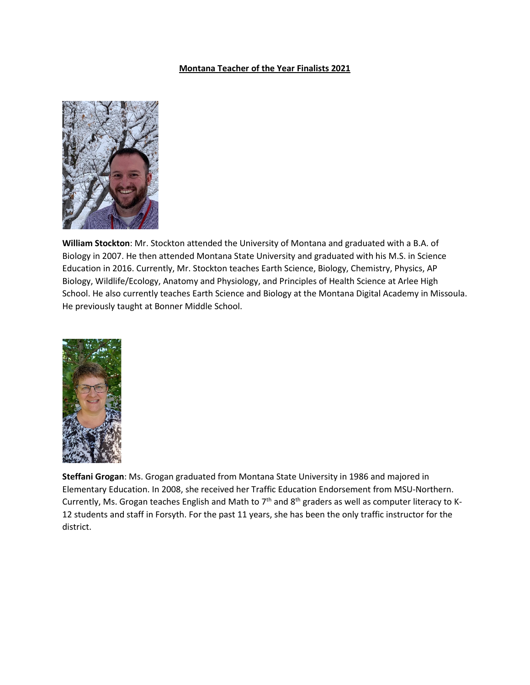## **Montana Teacher of the Year Finalists 2021**



**William Stockton**: Mr. Stockton attended the University of Montana and graduated with a B.A. of Biology in 2007. He then attended Montana State University and graduated with his M.S. in Science Education in 2016. Currently, Mr. Stockton teaches Earth Science, Biology, Chemistry, Physics, AP Biology, Wildlife/Ecology, Anatomy and Physiology, and Principles of Health Science at Arlee High School. He also currently teaches Earth Science and Biology at the Montana Digital Academy in Missoula. He previously taught at Bonner Middle School.



**Steffani Grogan**: Ms. Grogan graduated from Montana State University in 1986 and majored in Elementary Education. In 2008, she received her Traffic Education Endorsement from MSU-Northern. Currently, Ms. Grogan teaches English and Math to  $7<sup>th</sup>$  and  $8<sup>th</sup>$  graders as well as computer literacy to K-12 students and staff in Forsyth. For the past 11 years, she has been the only traffic instructor for the district.